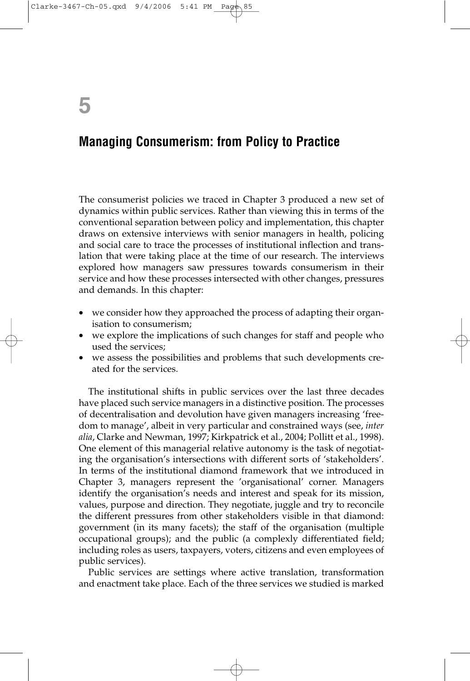# **5**

# **Managing Consumerism: from Policy to Practice**

The consumerist policies we traced in Chapter 3 produced a new set of dynamics within public services. Rather than viewing this in terms of the conventional separation between policy and implementation, this chapter draws on extensive interviews with senior managers in health, policing and social care to trace the processes of institutional inflection and translation that were taking place at the time of our research. The interviews explored how managers saw pressures towards consumerism in their service and how these processes intersected with other changes, pressures and demands. In this chapter:

- we consider how they approached the process of adapting their organisation to consumerism;
- we explore the implications of such changes for staff and people who used the services;
- we assess the possibilities and problems that such developments created for the services.

The institutional shifts in public services over the last three decades have placed such service managers in a distinctive position. The processes of decentralisation and devolution have given managers increasing 'freedom to manage', albeit in very particular and constrained ways (see, *inter alia*, Clarke and Newman, 1997; Kirkpatrick et al., 2004; Pollitt et al., 1998). One element of this managerial relative autonomy is the task of negotiating the organisation's intersections with different sorts of 'stakeholders'. In terms of the institutional diamond framework that we introduced in Chapter 3, managers represent the 'organisational' corner. Managers identify the organisation's needs and interest and speak for its mission, values, purpose and direction. They negotiate, juggle and try to reconcile the different pressures from other stakeholders visible in that diamond: government (in its many facets); the staff of the organisation (multiple occupational groups); and the public (a complexly differentiated field; including roles as users, taxpayers, voters, citizens and even employees of public services).

Public services are settings where active translation, transformation and enactment take place. Each of the three services we studied is marked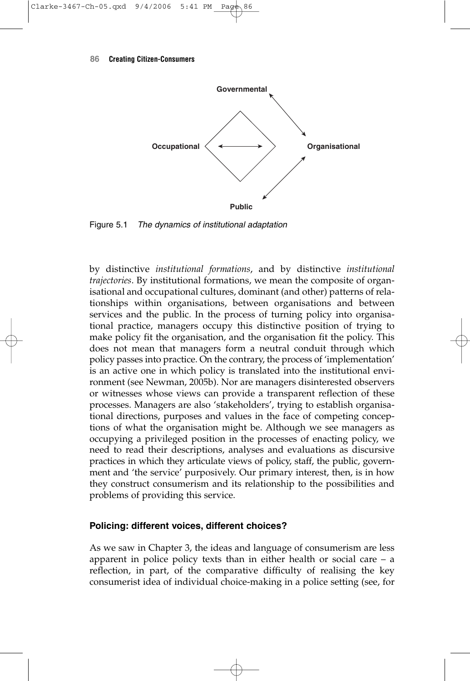

Figure 5.1 The dynamics of institutional adaptation

by distinctive *institutional formations*, and by distinctive *institutional trajectories*. By institutional formations, we mean the composite of organisational and occupational cultures, dominant (and other) patterns of relationships within organisations, between organisations and between services and the public. In the process of turning policy into organisational practice, managers occupy this distinctive position of trying to make policy fit the organisation, and the organisation fit the policy. This does not mean that managers form a neutral conduit through which policy passes into practice. On the contrary, the process of 'implementation' is an active one in which policy is translated into the institutional environment (see Newman, 2005b). Nor are managers disinterested observers or witnesses whose views can provide a transparent reflection of these processes. Managers are also 'stakeholders', trying to establish organisational directions, purposes and values in the face of competing conceptions of what the organisation might be. Although we see managers as occupying a privileged position in the processes of enacting policy, we need to read their descriptions, analyses and evaluations as discursive practices in which they articulate views of policy, staff, the public, government and 'the service' purposively. Our primary interest, then, is in how they construct consumerism and its relationship to the possibilities and problems of providing this service.

# **Policing: different voices, different choices?**

As we saw in Chapter 3, the ideas and language of consumerism are less apparent in police policy texts than in either health or social care  $-$  a reflection, in part, of the comparative difficulty of realising the key consumerist idea of individual choice-making in a police setting (see, for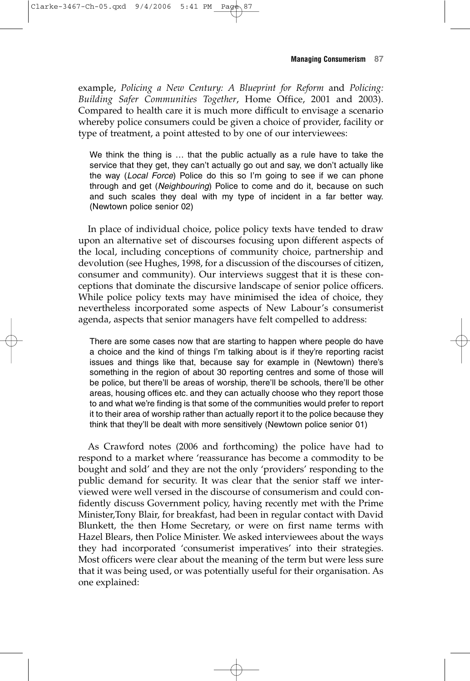example, *Policing a New Century: A Blueprint for Reform* and *Policing: Building Safer Communities Together*, Home Office, 2001 and 2003). Compared to health care it is much more difficult to envisage a scenario whereby police consumers could be given a choice of provider, facility or type of treatment, a point attested to by one of our interviewees:

We think the thing is … that the public actually as a rule have to take the service that they get, they can't actually go out and say, we don't actually like the way (Local Force) Police do this so I'm going to see if we can phone through and get (Neighbouring) Police to come and do it, because on such and such scales they deal with my type of incident in a far better way. (Newtown police senior 02)

In place of individual choice, police policy texts have tended to draw upon an alternative set of discourses focusing upon different aspects of the local, including conceptions of community choice, partnership and devolution (see Hughes, 1998, for a discussion of the discourses of citizen, consumer and community). Our interviews suggest that it is these conceptions that dominate the discursive landscape of senior police officers. While police policy texts may have minimised the idea of choice, they nevertheless incorporated some aspects of New Labour's consumerist agenda, aspects that senior managers have felt compelled to address:

There are some cases now that are starting to happen where people do have a choice and the kind of things I'm talking about is if they're reporting racist issues and things like that, because say for example in (Newtown) there's something in the region of about 30 reporting centres and some of those will be police, but there'll be areas of worship, there'll be schools, there'll be other areas, housing offices etc. and they can actually choose who they report those to and what we're finding is that some of the communities would prefer to report it to their area of worship rather than actually report it to the police because they think that they'll be dealt with more sensitively (Newtown police senior 01)

As Crawford notes (2006 and forthcoming) the police have had to respond to a market where 'reassurance has become a commodity to be bought and sold' and they are not the only 'providers' responding to the public demand for security. It was clear that the senior staff we interviewed were well versed in the discourse of consumerism and could confidently discuss Government policy, having recently met with the Prime Minister,Tony Blair, for breakfast, had been in regular contact with David Blunkett, the then Home Secretary, or were on first name terms with Hazel Blears, then Police Minister. We asked interviewees about the ways they had incorporated 'consumerist imperatives' into their strategies. Most officers were clear about the meaning of the term but were less sure that it was being used, or was potentially useful for their organisation. As one explained: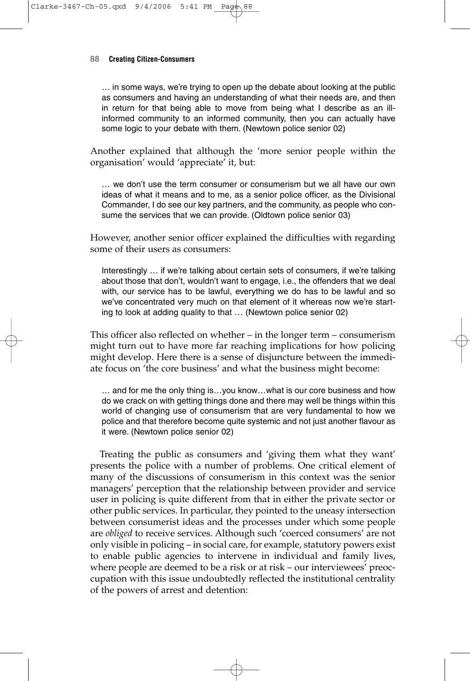… in some ways, we're trying to open up the debate about looking at the public as consumers and having an understanding of what their needs are, and then in return for that being able to move from being what I describe as an illinformed community to an informed community, then you can actually have some logic to your debate with them. (Newtown police senior 02)

Another explained that although the 'more senior people within the organisation' would 'appreciate' it, but:

… we don't use the term consumer or consumerism but we all have our own ideas of what it means and to me, as a senior police officer, as the Divisional Commander, I do see our key partners, and the community, as people who consume the services that we can provide. (Oldtown police senior 03)

However, another senior officer explained the difficulties with regarding some of their users as consumers:

Interestingly … if we're talking about certain sets of consumers, if we're talking about those that don't, wouldn't want to engage, i.e., the offenders that we deal with, our service has to be lawful, everything we do has to be lawful and so we've concentrated very much on that element of it whereas now we're starting to look at adding quality to that … (Newtown police senior 02)

This officer also reflected on whether – in the longer term – consumerism might turn out to have more far reaching implications for how policing might develop. Here there is a sense of disjuncture between the immediate focus on 'the core business' and what the business might become:

… and for me the only thing is…you know…what is our core business and how do we crack on with getting things done and there may well be things within this world of changing use of consumerism that are very fundamental to how we police and that therefore become quite systemic and not just another flavour as it were. (Newtown police senior 02)

Treating the public as consumers and 'giving them what they want' presents the police with a number of problems. One critical element of many of the discussions of consumerism in this context was the senior managers' perception that the relationship between provider and service user in policing is quite different from that in either the private sector or other public services. In particular, they pointed to the uneasy intersection between consumerist ideas and the processes under which some people are *obliged* to receive services. Although such 'coerced consumers' are not only visible in policing – in social care, for example, statutory powers exist to enable public agencies to intervene in individual and family lives, where people are deemed to be a risk or at risk – our interviewees' preoccupation with this issue undoubtedly reflected the institutional centrality of the powers of arrest and detention: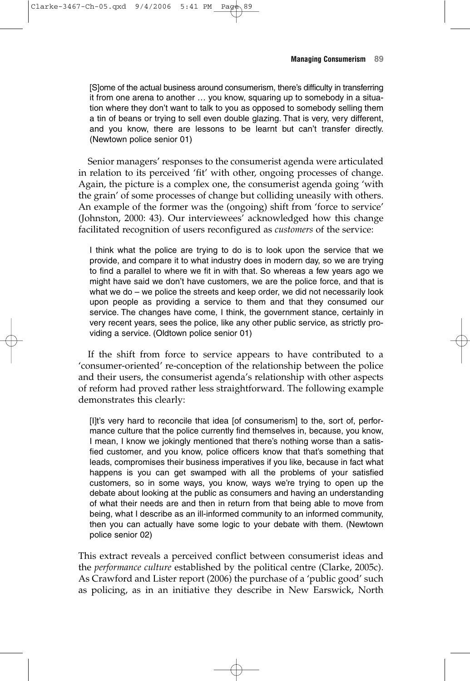[S]ome of the actual business around consumerism, there's difficulty in transferring it from one arena to another … you know, squaring up to somebody in a situation where they don't want to talk to you as opposed to somebody selling them a tin of beans or trying to sell even double glazing. That is very, very different, and you know, there are lessons to be learnt but can't transfer directly. (Newtown police senior 01)

Senior managers' responses to the consumerist agenda were articulated in relation to its perceived 'fit' with other, ongoing processes of change. Again, the picture is a complex one, the consumerist agenda going 'with the grain' of some processes of change but colliding uneasily with others. An example of the former was the (ongoing) shift from 'force to service' (Johnston, 2000: 43). Our interviewees' acknowledged how this change facilitated recognition of users reconfigured as *customers* of the service:

I think what the police are trying to do is to look upon the service that we provide, and compare it to what industry does in modern day, so we are trying to find a parallel to where we fit in with that. So whereas a few years ago we might have said we don't have customers, we are the police force, and that is what we do – we police the streets and keep order, we did not necessarily look upon people as providing a service to them and that they consumed our service. The changes have come, I think, the government stance, certainly in very recent years, sees the police, like any other public service, as strictly providing a service. (Oldtown police senior 01)

If the shift from force to service appears to have contributed to a 'consumer-oriented' re-conception of the relationship between the police and their users, the consumerist agenda's relationship with other aspects of reform had proved rather less straightforward. The following example demonstrates this clearly:

[I]t's very hard to reconcile that idea [of consumerism] to the, sort of, performance culture that the police currently find themselves in, because, you know, I mean, I know we jokingly mentioned that there's nothing worse than a satisfied customer, and you know, police officers know that that's something that leads, compromises their business imperatives if you like, because in fact what happens is you can get swamped with all the problems of your satisfied customers, so in some ways, you know, ways we're trying to open up the debate about looking at the public as consumers and having an understanding of what their needs are and then in return from that being able to move from being, what I describe as an ill-informed community to an informed community, then you can actually have some logic to your debate with them. (Newtown police senior 02)

This extract reveals a perceived conflict between consumerist ideas and the *performance culture* established by the political centre (Clarke, 2005c). As Crawford and Lister report (2006) the purchase of a 'public good' such as policing, as in an initiative they describe in New Earswick, North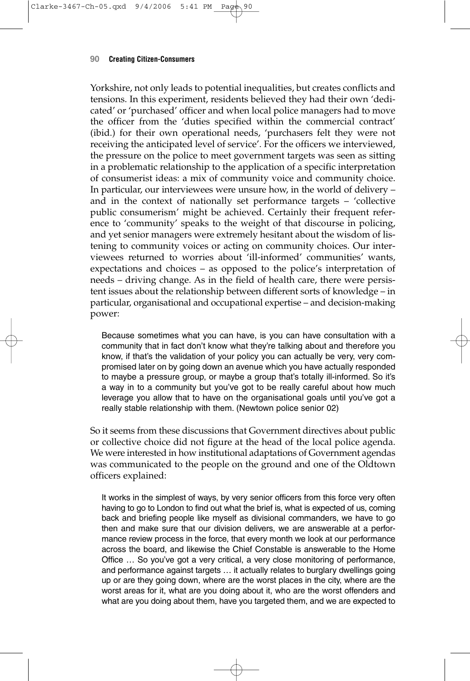Yorkshire, not only leads to potential inequalities, but creates conflicts and tensions. In this experiment, residents believed they had their own 'dedicated' or 'purchased' officer and when local police managers had to move the officer from the 'duties specified within the commercial contract' (ibid.) for their own operational needs, 'purchasers felt they were not receiving the anticipated level of service'. For the officers we interviewed, the pressure on the police to meet government targets was seen as sitting in a problematic relationship to the application of a specific interpretation of consumerist ideas: a mix of community voice and community choice. In particular, our interviewees were unsure how, in the world of delivery – and in the context of nationally set performance targets – 'collective public consumerism' might be achieved. Certainly their frequent reference to 'community' speaks to the weight of that discourse in policing, and yet senior managers were extremely hesitant about the wisdom of listening to community voices or acting on community choices. Our interviewees returned to worries about 'ill-informed' communities' wants, expectations and choices – as opposed to the police's interpretation of needs – driving change. As in the field of health care, there were persistent issues about the relationship between different sorts of knowledge – in particular, organisational and occupational expertise – and decision-making power:

Because sometimes what you can have, is you can have consultation with a community that in fact don't know what they're talking about and therefore you know, if that's the validation of your policy you can actually be very, very compromised later on by going down an avenue which you have actually responded to maybe a pressure group, or maybe a group that's totally ill-informed. So it's a way in to a community but you've got to be really careful about how much leverage you allow that to have on the organisational goals until you've got a really stable relationship with them. (Newtown police senior 02)

So it seems from these discussions that Government directives about public or collective choice did not figure at the head of the local police agenda. We were interested in how institutional adaptations of Government agendas was communicated to the people on the ground and one of the Oldtown officers explained:

It works in the simplest of ways, by very senior officers from this force very often having to go to London to find out what the brief is, what is expected of us, coming back and briefing people like myself as divisional commanders, we have to go then and make sure that our division delivers, we are answerable at a performance review process in the force, that every month we look at our performance across the board, and likewise the Chief Constable is answerable to the Home Office … So you've got a very critical, a very close monitoring of performance, and performance against targets … it actually relates to burglary dwellings going up or are they going down, where are the worst places in the city, where are the worst areas for it, what are you doing about it, who are the worst offenders and what are you doing about them, have you targeted them, and we are expected to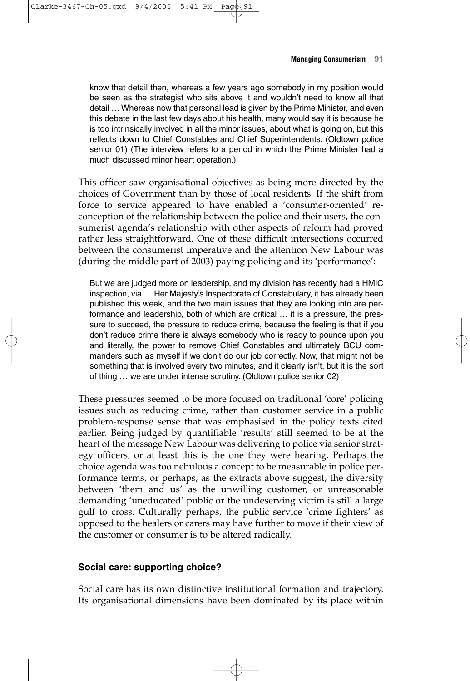#### **Managing Consumerism 91**

know that detail then, whereas a few years ago somebody in my position would be seen as the strategist who sits above it and wouldn't need to know all that detail … Whereas now that personal lead is given by the Prime Minister, and even this debate in the last few days about his health, many would say it is because he is too intrinsically involved in all the minor issues, about what is going on, but this reflects down to Chief Constables and Chief Superintendents. (Oldtown police senior 01) (The interview refers to a period in which the Prime Minister had a much discussed minor heart operation.)

This officer saw organisational objectives as being more directed by the choices of Government than by those of local residents. If the shift from force to service appeared to have enabled a 'consumer-oriented' reconception of the relationship between the police and their users, the consumerist agenda's relationship with other aspects of reform had proved rather less straightforward. One of these difficult intersections occurred between the consumerist imperative and the attention New Labour was (during the middle part of 2003) paying policing and its 'performance':

But we are judged more on leadership, and my division has recently had a HMIC inspection, via … Her Majesty's Inspectorate of Constabulary, it has already been published this week, and the two main issues that they are looking into are performance and leadership, both of which are critical … it is a pressure, the pressure to succeed, the pressure to reduce crime, because the feeling is that if you don't reduce crime there is always somebody who is ready to pounce upon you and literally, the power to remove Chief Constables and ultimately BCU commanders such as myself if we don't do our job correctly. Now, that might not be something that is involved every two minutes, and it clearly isn't, but it is the sort of thing … we are under intense scrutiny. (Oldtown police senior 02)

These pressures seemed to be more focused on traditional 'core' policing issues such as reducing crime, rather than customer service in a public problem-response sense that was emphasised in the policy texts cited earlier. Being judged by quantifiable 'results' still seemed to be at the heart of the message New Labour was delivering to police via senior strategy officers, or at least this is the one they were hearing. Perhaps the choice agenda was too nebulous a concept to be measurable in police performance terms, or perhaps, as the extracts above suggest, the diversity between 'them and us' as the unwilling customer, or unreasonable demanding 'uneducated' public or the undeserving victim is still a large gulf to cross. Culturally perhaps, the public service 'crime fighters' as opposed to the healers or carers may have further to move if their view of the customer or consumer is to be altered radically.

### **Social care: supporting choice?**

Social care has its own distinctive institutional formation and trajectory. Its organisational dimensions have been dominated by its place within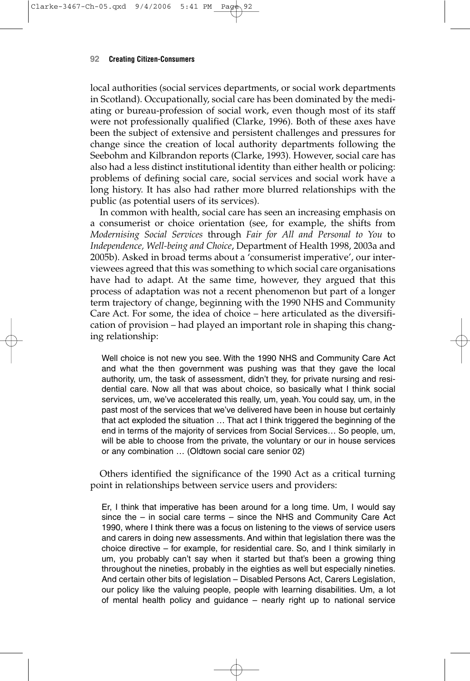local authorities (social services departments, or social work departments in Scotland). Occupationally, social care has been dominated by the mediating or bureau-profession of social work, even though most of its staff were not professionally qualified (Clarke, 1996). Both of these axes have been the subject of extensive and persistent challenges and pressures for change since the creation of local authority departments following the Seebohm and Kilbrandon reports (Clarke, 1993). However, social care has also had a less distinct institutional identity than either health or policing: problems of defining social care, social services and social work have a long history. It has also had rather more blurred relationships with the public (as potential users of its services).

In common with health, social care has seen an increasing emphasis on a consumerist or choice orientation (see, for example, the shifts from *Modernising Social Services* through *Fair for All and Personal to You* to *Independence, Well-being and Choice*, Department of Health 1998, 2003a and 2005b). Asked in broad terms about a 'consumerist imperative', our interviewees agreed that this was something to which social care organisations have had to adapt. At the same time, however, they argued that this process of adaptation was not a recent phenomenon but part of a longer term trajectory of change, beginning with the 1990 NHS and Community Care Act. For some, the idea of choice – here articulated as the diversification of provision – had played an important role in shaping this changing relationship:

Well choice is not new you see. With the 1990 NHS and Community Care Act and what the then government was pushing was that they gave the local authority, um, the task of assessment, didn't they, for private nursing and residential care. Now all that was about choice, so basically what I think social services, um, we've accelerated this really, um, yeah.You could say, um, in the past most of the services that we've delivered have been in house but certainly that act exploded the situation … That act I think triggered the beginning of the end in terms of the majority of services from Social Services… So people, um, will be able to choose from the private, the voluntary or our in house services or any combination … (Oldtown social care senior 02)

Others identified the significance of the 1990 Act as a critical turning point in relationships between service users and providers:

Er, I think that imperative has been around for a long time. Um, I would say since the – in social care terms – since the NHS and Community Care Act 1990, where I think there was a focus on listening to the views of service users and carers in doing new assessments. And within that legislation there was the choice directive – for example, for residential care. So, and I think similarly in um, you probably can't say when it started but that's been a growing thing throughout the nineties, probably in the eighties as well but especially nineties. And certain other bits of legislation – Disabled Persons Act, Carers Legislation, our policy like the valuing people, people with learning disabilities. Um, a lot of mental health policy and guidance – nearly right up to national service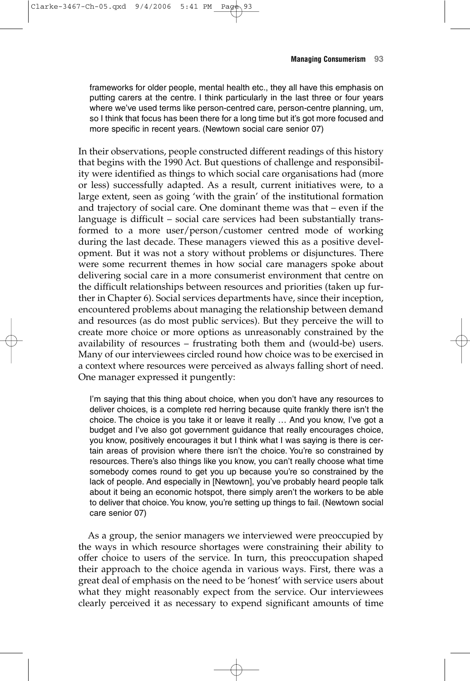$Clarke-3467-Ch-05.$ gxd 9/4/2006

frameworks for older people, mental health etc., they all have this emphasis on putting carers at the centre. I think particularly in the last three or four years where we've used terms like person-centred care, person-centre planning, um, so I think that focus has been there for a long time but it's got more focused and more specific in recent years. (Newtown social care senior 07)

In their observations, people constructed different readings of this history that begins with the 1990 Act. But questions of challenge and responsibility were identified as things to which social care organisations had (more or less) successfully adapted. As a result, current initiatives were, to a large extent, seen as going 'with the grain' of the institutional formation and trajectory of social care. One dominant theme was that – even if the language is difficult – social care services had been substantially transformed to a more user/person/customer centred mode of working during the last decade. These managers viewed this as a positive development. But it was not a story without problems or disjunctures. There were some recurrent themes in how social care managers spoke about delivering social care in a more consumerist environment that centre on the difficult relationships between resources and priorities (taken up further in Chapter 6). Social services departments have, since their inception, encountered problems about managing the relationship between demand and resources (as do most public services). But they perceive the will to create more choice or more options as unreasonably constrained by the availability of resources – frustrating both them and (would-be) users. Many of our interviewees circled round how choice was to be exercised in a context where resources were perceived as always falling short of need. One manager expressed it pungently:

I'm saying that this thing about choice, when you don't have any resources to deliver choices, is a complete red herring because quite frankly there isn't the choice. The choice is you take it or leave it really … And you know, I've got a budget and I've also got government guidance that really encourages choice, you know, positively encourages it but I think what I was saying is there is certain areas of provision where there isn't the choice. You're so constrained by resources. There's also things like you know, you can't really choose what time somebody comes round to get you up because you're so constrained by the lack of people. And especially in [Newtown], you've probably heard people talk about it being an economic hotspot, there simply aren't the workers to be able to deliver that choice.You know, you're setting up things to fail. (Newtown social care senior 07)

As a group, the senior managers we interviewed were preoccupied by the ways in which resource shortages were constraining their ability to offer choice to users of the service. In turn, this preoccupation shaped their approach to the choice agenda in various ways. First, there was a great deal of emphasis on the need to be 'honest' with service users about what they might reasonably expect from the service. Our interviewees clearly perceived it as necessary to expend significant amounts of time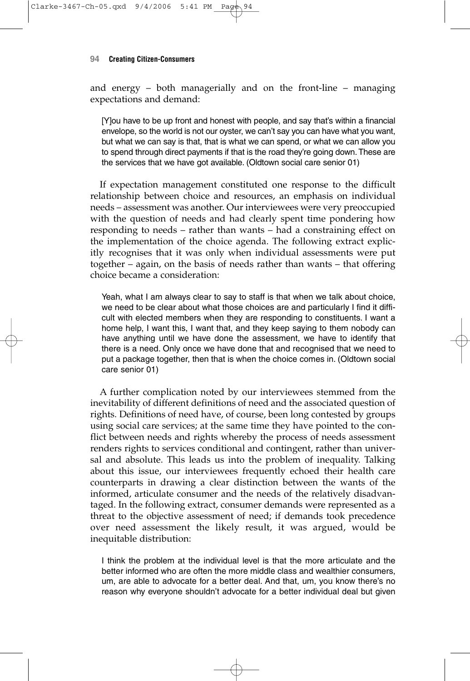and energy – both managerially and on the front-line – managing expectations and demand:

[Y]ou have to be up front and honest with people, and say that's within a financial envelope, so the world is not our oyster, we can't say you can have what you want, but what we can say is that, that is what we can spend, or what we can allow you to spend through direct payments if that is the road they're going down.These are the services that we have got available. (Oldtown social care senior 01)

If expectation management constituted one response to the difficult relationship between choice and resources, an emphasis on individual needs – assessment was another. Our interviewees were very preoccupied with the question of needs and had clearly spent time pondering how responding to needs – rather than wants – had a constraining effect on the implementation of the choice agenda. The following extract explicitly recognises that it was only when individual assessments were put together – again, on the basis of needs rather than wants – that offering choice became a consideration:

Yeah, what I am always clear to say to staff is that when we talk about choice, we need to be clear about what those choices are and particularly I find it difficult with elected members when they are responding to constituents. I want a home help, I want this, I want that, and they keep saying to them nobody can have anything until we have done the assessment, we have to identify that there is a need. Only once we have done that and recognised that we need to put a package together, then that is when the choice comes in. (Oldtown social care senior 01)

A further complication noted by our interviewees stemmed from the inevitability of different definitions of need and the associated question of rights. Definitions of need have, of course, been long contested by groups using social care services; at the same time they have pointed to the conflict between needs and rights whereby the process of needs assessment renders rights to services conditional and contingent, rather than universal and absolute. This leads us into the problem of inequality. Talking about this issue, our interviewees frequently echoed their health care counterparts in drawing a clear distinction between the wants of the informed, articulate consumer and the needs of the relatively disadvantaged. In the following extract, consumer demands were represented as a threat to the objective assessment of need; if demands took precedence over need assessment the likely result, it was argued, would be inequitable distribution:

I think the problem at the individual level is that the more articulate and the better informed who are often the more middle class and wealthier consumers, um, are able to advocate for a better deal. And that, um, you know there's no reason why everyone shouldn't advocate for a better individual deal but given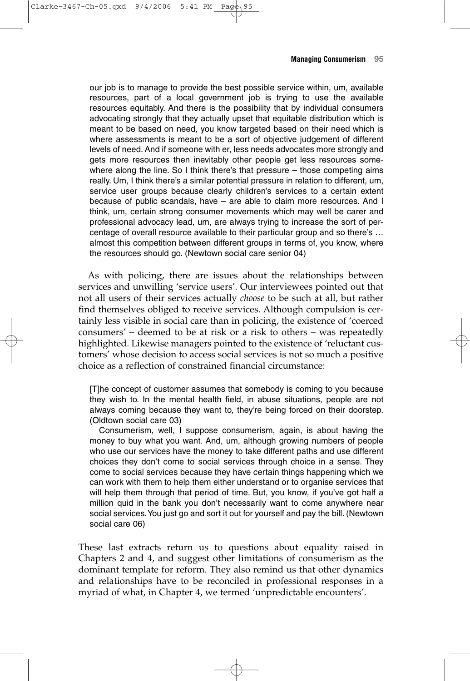our job is to manage to provide the best possible service within, um, available resources, part of a local government job is trying to use the available resources equitably. And there is the possibility that by individual consumers advocating strongly that they actually upset that equitable distribution which is meant to be based on need, you know targeted based on their need which is where assessments is meant to be a sort of objective judgement of different levels of need. And if someone with er, less needs advocates more strongly and gets more resources then inevitably other people get less resources somewhere along the line. So I think there's that pressure – those competing aims really. Um, I think there's a similar potential pressure in relation to different, um, service user groups because clearly children's services to a certain extent because of public scandals, have – are able to claim more resources. And I think, um, certain strong consumer movements which may well be carer and professional advocacy lead, um, are always trying to increase the sort of per-

centage of overall resource available to their particular group and so there's … almost this competition between different groups in terms of, you know, where the resources should go. (Newtown social care senior 04)

As with policing, there are issues about the relationships between services and unwilling 'service users'. Our interviewees pointed out that not all users of their services actually *choose* to be such at all, but rather find themselves obliged to receive services. Although compulsion is certainly less visible in social care than in policing, the existence of 'coerced consumers' – deemed to be at risk or a risk to others – was repeatedly highlighted. Likewise managers pointed to the existence of 'reluctant customers' whose decision to access social services is not so much a positive choice as a reflection of constrained financial circumstance:

[T]he concept of customer assumes that somebody is coming to you because they wish to. In the mental health field, in abuse situations, people are not always coming because they want to, they're being forced on their doorstep. (Oldtown social care 03)

Consumerism, well, I suppose consumerism, again, is about having the money to buy what you want. And, um, although growing numbers of people who use our services have the money to take different paths and use different choices they don't come to social services through choice in a sense. They come to social services because they have certain things happening which we can work with them to help them either understand or to organise services that will help them through that period of time. But, you know, if you've got half a million quid in the bank you don't necessarily want to come anywhere near social services.You just go and sort it out for yourself and pay the bill. (Newtown social care 06)

These last extracts return us to questions about equality raised in Chapters 2 and 4, and suggest other limitations of consumerism as the dominant template for reform. They also remind us that other dynamics and relationships have to be reconciled in professional responses in a myriad of what, in Chapter 4, we termed 'unpredictable encounters'.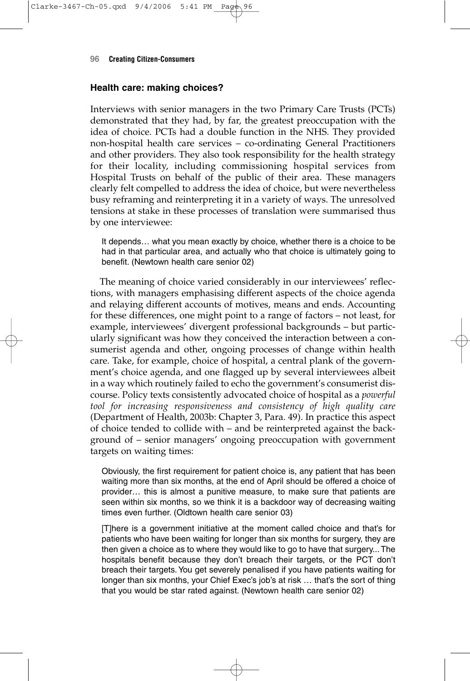# **Health care: making choices?**

Interviews with senior managers in the two Primary Care Trusts (PCTs) demonstrated that they had, by far, the greatest preoccupation with the idea of choice. PCTs had a double function in the NHS. They provided non-hospital health care services – co-ordinating General Practitioners and other providers. They also took responsibility for the health strategy for their locality, including commissioning hospital services from Hospital Trusts on behalf of the public of their area. These managers clearly felt compelled to address the idea of choice, but were nevertheless busy reframing and reinterpreting it in a variety of ways. The unresolved tensions at stake in these processes of translation were summarised thus by one interviewee:

It depends… what you mean exactly by choice, whether there is a choice to be had in that particular area, and actually who that choice is ultimately going to benefit. (Newtown health care senior 02)

The meaning of choice varied considerably in our interviewees' reflections, with managers emphasising different aspects of the choice agenda and relaying different accounts of motives, means and ends. Accounting for these differences, one might point to a range of factors – not least, for example, interviewees' divergent professional backgrounds – but particularly significant was how they conceived the interaction between a consumerist agenda and other, ongoing processes of change within health care. Take, for example, choice of hospital, a central plank of the government's choice agenda, and one flagged up by several interviewees albeit in a way which routinely failed to echo the government's consumerist discourse. Policy texts consistently advocated choice of hospital as a *powerful tool for increasing responsiveness and consistency of high quality care* (Department of Health, 2003b: Chapter 3, Para. 49). In practice this aspect of choice tended to collide with – and be reinterpreted against the background of – senior managers' ongoing preoccupation with government targets on waiting times:

Obviously, the first requirement for patient choice is, any patient that has been waiting more than six months, at the end of April should be offered a choice of provider… this is almost a punitive measure, to make sure that patients are seen within six months, so we think it is a backdoor way of decreasing waiting times even further. (Oldtown health care senior 03)

[T]here is a government initiative at the moment called choice and that's for patients who have been waiting for longer than six months for surgery, they are then given a choice as to where they would like to go to have that surgery... The hospitals benefit because they don't breach their targets, or the PCT don't breach their targets. You get severely penalised if you have patients waiting for longer than six months, your Chief Exec's job's at risk … that's the sort of thing that you would be star rated against. (Newtown health care senior 02)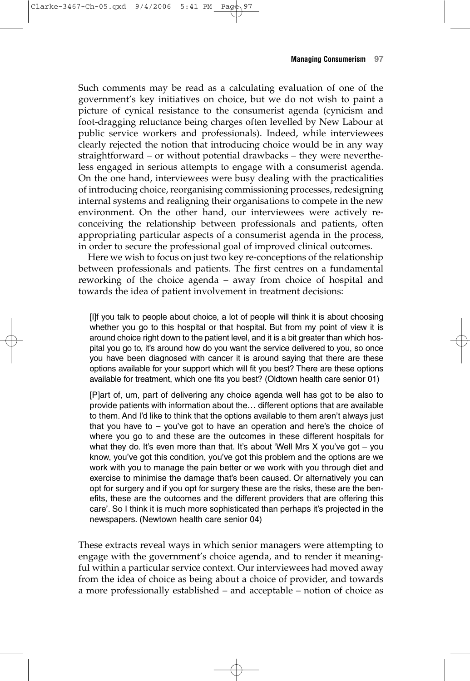$Clarke-3467-Ch-05.$ gxd 9/4/2006

Such comments may be read as a calculating evaluation of one of the government's key initiatives on choice, but we do not wish to paint a picture of cynical resistance to the consumerist agenda (cynicism and foot-dragging reluctance being charges often levelled by New Labour at public service workers and professionals). Indeed, while interviewees clearly rejected the notion that introducing choice would be in any way straightforward – or without potential drawbacks – they were nevertheless engaged in serious attempts to engage with a consumerist agenda. On the one hand, interviewees were busy dealing with the practicalities of introducing choice, reorganising commissioning processes, redesigning internal systems and realigning their organisations to compete in the new environment. On the other hand, our interviewees were actively reconceiving the relationship between professionals and patients, often appropriating particular aspects of a consumerist agenda in the process, in order to secure the professional goal of improved clinical outcomes.

Here we wish to focus on just two key re-conceptions of the relationship between professionals and patients. The first centres on a fundamental reworking of the choice agenda – away from choice of hospital and towards the idea of patient involvement in treatment decisions:

[I]f you talk to people about choice, a lot of people will think it is about choosing whether you go to this hospital or that hospital. But from my point of view it is around choice right down to the patient level, and it is a bit greater than which hospital you go to, it's around how do you want the service delivered to you, so once you have been diagnosed with cancer it is around saying that there are these options available for your support which will fit you best? There are these options available for treatment, which one fits you best? (Oldtown health care senior 01)

[P]art of, um, part of delivering any choice agenda well has got to be also to provide patients with information about the… different options that are available to them. And I'd like to think that the options available to them aren't always just that you have to – you've got to have an operation and here's the choice of where you go to and these are the outcomes in these different hospitals for what they do. It's even more than that. It's about 'Well Mrs  $X$  you've got – you know, you've got this condition, you've got this problem and the options are we work with you to manage the pain better or we work with you through diet and exercise to minimise the damage that's been caused. Or alternatively you can opt for surgery and if you opt for surgery these are the risks, these are the benefits, these are the outcomes and the different providers that are offering this care'. So I think it is much more sophisticated than perhaps it's projected in the newspapers. (Newtown health care senior 04)

These extracts reveal ways in which senior managers were attempting to engage with the government's choice agenda, and to render it meaningful within a particular service context. Our interviewees had moved away from the idea of choice as being about a choice of provider, and towards a more professionally established – and acceptable – notion of choice as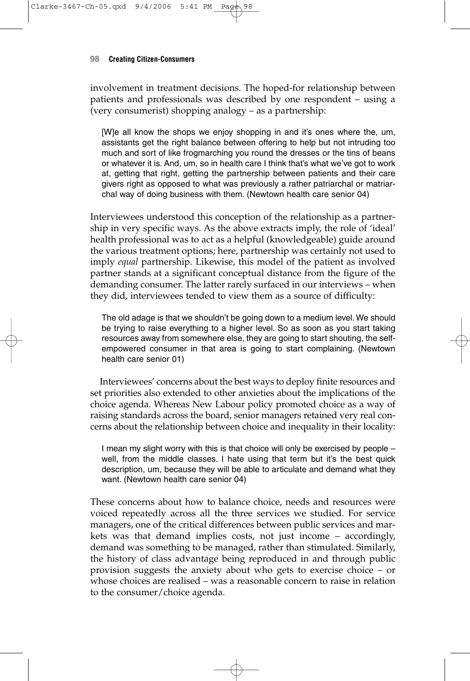involvement in treatment decisions. The hoped-for relationship between patients and professionals was described by one respondent – using a (very consumerist) shopping analogy – as a partnership:

[W]e all know the shops we enjoy shopping in and it's ones where the, um, assistants get the right balance between offering to help but not intruding too much and sort of like frogmarching you round the dresses or the tins of beans or whatever it is. And, um, so in health care I think that's what we've got to work at, getting that right, getting the partnership between patients and their care givers right as opposed to what was previously a rather patriarchal or matriarchal way of doing business with them. (Newtown health care senior 04)

Interviewees understood this conception of the relationship as a partnership in very specific ways. As the above extracts imply, the role of 'ideal' health professional was to act as a helpful (knowledgeable) guide around the various treatment options; here, partnership was certainly not used to imply *equal* partnership. Likewise, this model of the patient as involved partner stands at a significant conceptual distance from the figure of the demanding consumer. The latter rarely surfaced in our interviews – when they did, interviewees tended to view them as a source of difficulty:

The old adage is that we shouldn't be going down to a medium level. We should be trying to raise everything to a higher level. So as soon as you start taking resources away from somewhere else, they are going to start shouting, the selfempowered consumer in that area is going to start complaining. (Newtown health care senior 01)

Interviewees' concerns about the best ways to deploy finite resources and set priorities also extended to other anxieties about the implications of the choice agenda. Whereas New Labour policy promoted choice as a way of raising standards across the board, senior managers retained very real concerns about the relationship between choice and inequality in their locality:

I mean my slight worry with this is that choice will only be exercised by people – well, from the middle classes. I hate using that term but it's the best quick description, um, because they will be able to articulate and demand what they want. (Newtown health care senior 04)

These concerns about how to balance choice, needs and resources were voiced repeatedly across all the three services we studied. For service managers, one of the critical differences between public services and markets was that demand implies costs, not just income – accordingly, demand was something to be managed, rather than stimulated. Similarly, the history of class advantage being reproduced in and through public provision suggests the anxiety about who gets to exercise choice – or whose choices are realised – was a reasonable concern to raise in relation to the consumer/choice agenda.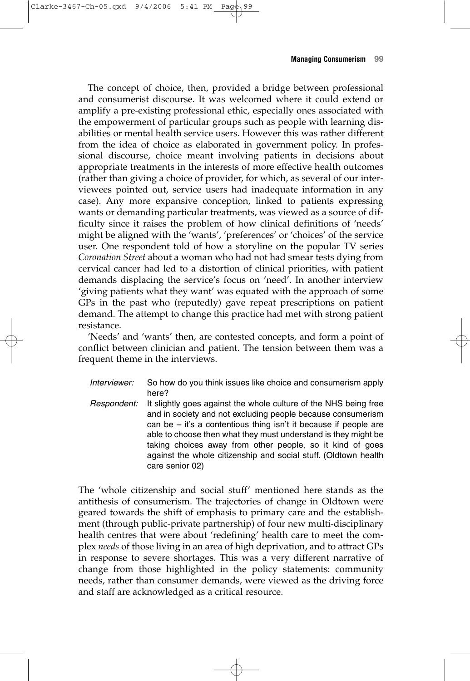The concept of choice, then, provided a bridge between professional and consumerist discourse. It was welcomed where it could extend or amplify a pre-existing professional ethic, especially ones associated with the empowerment of particular groups such as people with learning disabilities or mental health service users. However this was rather different from the idea of choice as elaborated in government policy. In professional discourse, choice meant involving patients in decisions about appropriate treatments in the interests of more effective health outcomes (rather than giving a choice of provider, for which, as several of our interviewees pointed out, service users had inadequate information in any case). Any more expansive conception, linked to patients expressing wants or demanding particular treatments, was viewed as a source of difficulty since it raises the problem of how clinical definitions of 'needs' might be aligned with the 'wants', 'preferences' or 'choices' of the service user. One respondent told of how a storyline on the popular TV series *Coronation Street* about a woman who had not had smear tests dying from cervical cancer had led to a distortion of clinical priorities, with patient demands displacing the service's focus on 'need'. In another interview 'giving patients what they want' was equated with the approach of some GPs in the past who (reputedly) gave repeat prescriptions on patient demand. The attempt to change this practice had met with strong patient resistance.

'Needs' and 'wants' then, are contested concepts, and form a point of conflict between clinician and patient. The tension between them was a frequent theme in the interviews.

Interviewer: So how do you think issues like choice and consumerism apply here? Respondent: It slightly goes against the whole culture of the NHS being free

and in society and not excluding people because consumerism can be – it's a contentious thing isn't it because if people are able to choose then what they must understand is they might be taking choices away from other people, so it kind of goes against the whole citizenship and social stuff. (Oldtown health care senior 02)

The 'whole citizenship and social stuff' mentioned here stands as the antithesis of consumerism. The trajectories of change in Oldtown were geared towards the shift of emphasis to primary care and the establishment (through public-private partnership) of four new multi-disciplinary health centres that were about 'redefining' health care to meet the complex *needs* of those living in an area of high deprivation, and to attract GPs in response to severe shortages. This was a very different narrative of change from those highlighted in the policy statements: community needs, rather than consumer demands, were viewed as the driving force and staff are acknowledged as a critical resource.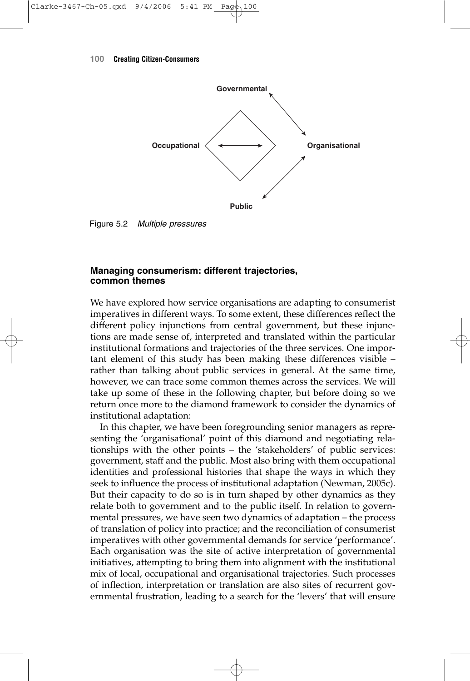

Figure 5.2 Multiple pressures

# **Managing consumerism: different trajectories, common themes**

We have explored how service organisations are adapting to consumerist imperatives in different ways. To some extent, these differences reflect the different policy injunctions from central government, but these injunctions are made sense of, interpreted and translated within the particular institutional formations and trajectories of the three services. One important element of this study has been making these differences visible – rather than talking about public services in general. At the same time, however, we can trace some common themes across the services. We will take up some of these in the following chapter, but before doing so we return once more to the diamond framework to consider the dynamics of institutional adaptation:

In this chapter, we have been foregrounding senior managers as representing the 'organisational' point of this diamond and negotiating relationships with the other points – the 'stakeholders' of public services: government, staff and the public. Most also bring with them occupational identities and professional histories that shape the ways in which they seek to influence the process of institutional adaptation (Newman, 2005c). But their capacity to do so is in turn shaped by other dynamics as they relate both to government and to the public itself. In relation to governmental pressures, we have seen two dynamics of adaptation – the process of translation of policy into practice; and the reconciliation of consumerist imperatives with other governmental demands for service 'performance'. Each organisation was the site of active interpretation of governmental initiatives, attempting to bring them into alignment with the institutional mix of local, occupational and organisational trajectories. Such processes of inflection, interpretation or translation are also sites of recurrent governmental frustration, leading to a search for the 'levers' that will ensure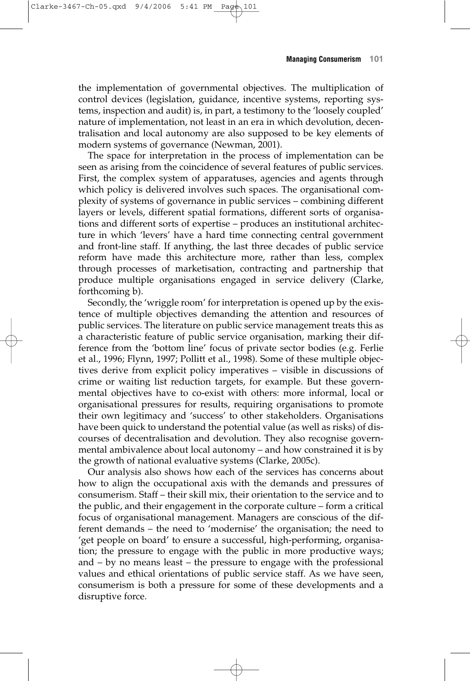the implementation of governmental objectives. The multiplication of control devices (legislation, guidance, incentive systems, reporting systems, inspection and audit) is, in part, a testimony to the 'loosely coupled' nature of implementation, not least in an era in which devolution, decentralisation and local autonomy are also supposed to be key elements of modern systems of governance (Newman, 2001).

The space for interpretation in the process of implementation can be seen as arising from the coincidence of several features of public services. First, the complex system of apparatuses, agencies and agents through which policy is delivered involves such spaces. The organisational complexity of systems of governance in public services – combining different layers or levels, different spatial formations, different sorts of organisations and different sorts of expertise – produces an institutional architecture in which 'levers' have a hard time connecting central government and front-line staff. If anything, the last three decades of public service reform have made this architecture more, rather than less, complex through processes of marketisation, contracting and partnership that produce multiple organisations engaged in service delivery (Clarke, forthcoming b).

Secondly, the 'wriggle room' for interpretation is opened up by the existence of multiple objectives demanding the attention and resources of public services. The literature on public service management treats this as a characteristic feature of public service organisation, marking their difference from the 'bottom line' focus of private sector bodies (e.g. Ferlie et al., 1996; Flynn, 1997; Pollitt et al., 1998). Some of these multiple objectives derive from explicit policy imperatives – visible in discussions of crime or waiting list reduction targets, for example. But these governmental objectives have to co-exist with others: more informal, local or organisational pressures for results, requiring organisations to promote their own legitimacy and 'success' to other stakeholders. Organisations have been quick to understand the potential value (as well as risks) of discourses of decentralisation and devolution. They also recognise governmental ambivalence about local autonomy – and how constrained it is by the growth of national evaluative systems (Clarke, 2005c).

Our analysis also shows how each of the services has concerns about how to align the occupational axis with the demands and pressures of consumerism. Staff – their skill mix, their orientation to the service and to the public, and their engagement in the corporate culture – form a critical focus of organisational management. Managers are conscious of the different demands – the need to 'modernise' the organisation; the need to 'get people on board' to ensure a successful, high-performing, organisation; the pressure to engage with the public in more productive ways; and – by no means least – the pressure to engage with the professional values and ethical orientations of public service staff. As we have seen, consumerism is both a pressure for some of these developments and a disruptive force.